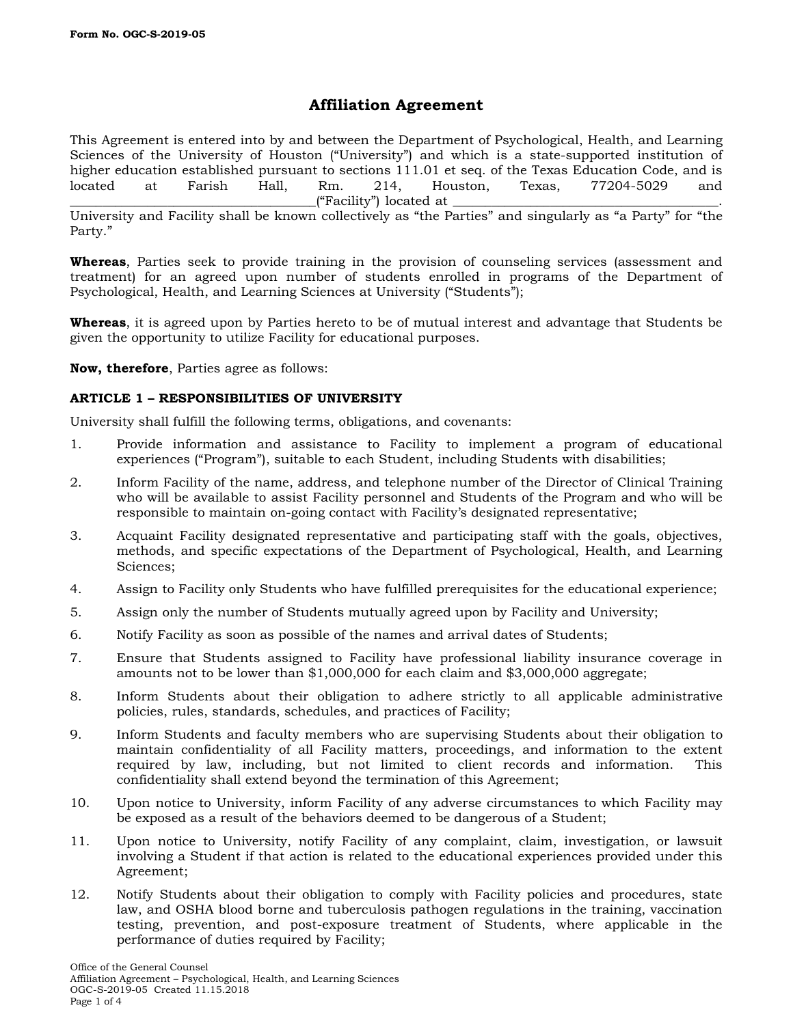# **Affiliation Agreement**

This Agreement is entered into by and between the Department of Psychological, Health, and Learning Sciences of the University of Houston ("University") and which is a state-supported institution of higher education established pursuant to sections 111.01 et seq. of the Texas Education Code, and is located at Farish Hall. Rm. 214. Houston. Texas. 77204-5029 and located at Farish Hall, Rm. 214, Houston, Texas, 77204-5029 and \_\_\_\_\_\_\_\_\_\_\_\_\_\_\_\_\_\_\_\_\_\_\_\_\_\_\_\_\_\_\_\_\_\_\_\_\_\_("Facility") located at \_\_\_\_\_\_\_\_\_\_\_\_\_\_\_\_\_\_\_\_\_\_\_\_\_\_\_\_\_\_\_\_\_\_\_\_\_\_\_\_\_.

University and Facility shall be known collectively as "the Parties" and singularly as "a Party" for "the Party."

**Whereas**, Parties seek to provide training in the provision of counseling services (assessment and treatment) for an agreed upon number of students enrolled in programs of the Department of Psychological, Health, and Learning Sciences at University ("Students");

**Whereas**, it is agreed upon by Parties hereto to be of mutual interest and advantage that Students be given the opportunity to utilize Facility for educational purposes.

**Now, therefore**, Parties agree as follows:

# **ARTICLE 1 – RESPONSIBILITIES OF UNIVERSITY**

University shall fulfill the following terms, obligations, and covenants:

- 1. Provide information and assistance to Facility to implement a program of educational experiences ("Program"), suitable to each Student, including Students with disabilities;
- 2. Inform Facility of the name, address, and telephone number of the Director of Clinical Training who will be available to assist Facility personnel and Students of the Program and who will be responsible to maintain on-going contact with Facility's designated representative;
- 3. Acquaint Facility designated representative and participating staff with the goals, objectives, methods, and specific expectations of the Department of Psychological, Health, and Learning Sciences;
- 4. Assign to Facility only Students who have fulfilled prerequisites for the educational experience;
- 5. Assign only the number of Students mutually agreed upon by Facility and University;
- 6. Notify Facility as soon as possible of the names and arrival dates of Students;
- 7. Ensure that Students assigned to Facility have professional liability insurance coverage in amounts not to be lower than \$1,000,000 for each claim and \$3,000,000 aggregate;
- 8. Inform Students about their obligation to adhere strictly to all applicable administrative policies, rules, standards, schedules, and practices of Facility;
- 9. Inform Students and faculty members who are supervising Students about their obligation to maintain confidentiality of all Facility matters, proceedings, and information to the extent required by law, including, but not limited to client records and information. This confidentiality shall extend beyond the termination of this Agreement;
- 10. Upon notice to University, inform Facility of any adverse circumstances to which Facility may be exposed as a result of the behaviors deemed to be dangerous of a Student;
- 11. Upon notice to University, notify Facility of any complaint, claim, investigation, or lawsuit involving a Student if that action is related to the educational experiences provided under this Agreement;
- 12. Notify Students about their obligation to comply with Facility policies and procedures, state law, and OSHA blood borne and tuberculosis pathogen regulations in the training, vaccination testing, prevention, and post-exposure treatment of Students, where applicable in the performance of duties required by Facility;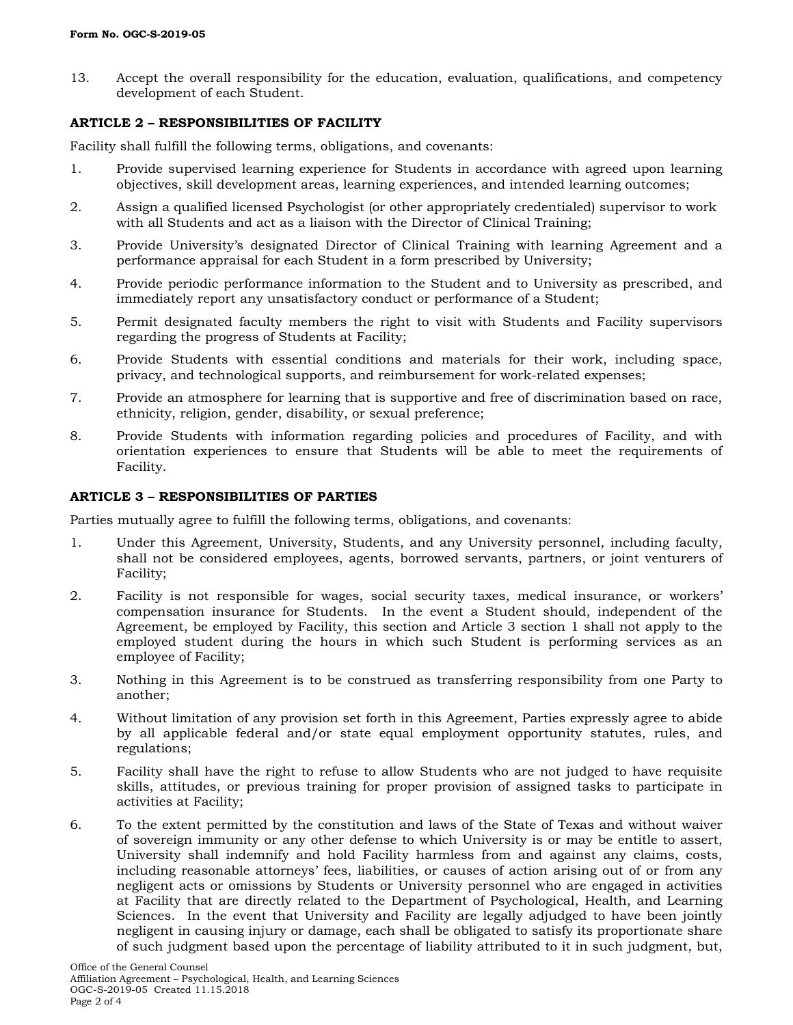13. Accept the overall responsibility for the education, evaluation, qualifications, and competency development of each Student.

# **ARTICLE 2 – RESPONSIBILITIES OF FACILITY**

Facility shall fulfill the following terms, obligations, and covenants:

- 1. Provide supervised learning experience for Students in accordance with agreed upon learning objectives, skill development areas, learning experiences, and intended learning outcomes;
- 2. Assign a qualified licensed Psychologist (or other appropriately credentialed) supervisor to work with all Students and act as a liaison with the Director of Clinical Training;
- 3. Provide University's designated Director of Clinical Training with learning Agreement and a performance appraisal for each Student in a form prescribed by University;
- 4. Provide periodic performance information to the Student and to University as prescribed, and immediately report any unsatisfactory conduct or performance of a Student;
- 5. Permit designated faculty members the right to visit with Students and Facility supervisors regarding the progress of Students at Facility;
- 6. Provide Students with essential conditions and materials for their work, including space, privacy, and technological supports, and reimbursement for work-related expenses;
- 7. Provide an atmosphere for learning that is supportive and free of discrimination based on race, ethnicity, religion, gender, disability, or sexual preference;
- 8. Provide Students with information regarding policies and procedures of Facility, and with orientation experiences to ensure that Students will be able to meet the requirements of Facility.

## **ARTICLE 3 – RESPONSIBILITIES OF PARTIES**

Parties mutually agree to fulfill the following terms, obligations, and covenants:

- 1. Under this Agreement, University, Students, and any University personnel, including faculty, shall not be considered employees, agents, borrowed servants, partners, or joint venturers of Facility;
- 2. Facility is not responsible for wages, social security taxes, medical insurance, or workers' compensation insurance for Students. In the event a Student should, independent of the Agreement, be employed by Facility, this section and Article 3 section 1 shall not apply to the employed student during the hours in which such Student is performing services as an employee of Facility;
- 3. Nothing in this Agreement is to be construed as transferring responsibility from one Party to another;
- 4. Without limitation of any provision set forth in this Agreement, Parties expressly agree to abide by all applicable federal and/or state equal employment opportunity statutes, rules, and regulations;
- 5. Facility shall have the right to refuse to allow Students who are not judged to have requisite skills, attitudes, or previous training for proper provision of assigned tasks to participate in activities at Facility;
- 6. To the extent permitted by the constitution and laws of the State of Texas and without waiver of sovereign immunity or any other defense to which University is or may be entitle to assert, University shall indemnify and hold Facility harmless from and against any claims, costs, including reasonable attorneys' fees, liabilities, or causes of action arising out of or from any negligent acts or omissions by Students or University personnel who are engaged in activities at Facility that are directly related to the Department of Psychological, Health, and Learning Sciences. In the event that University and Facility are legally adjudged to have been jointly negligent in causing injury or damage, each shall be obligated to satisfy its proportionate share of such judgment based upon the percentage of liability attributed to it in such judgment, but,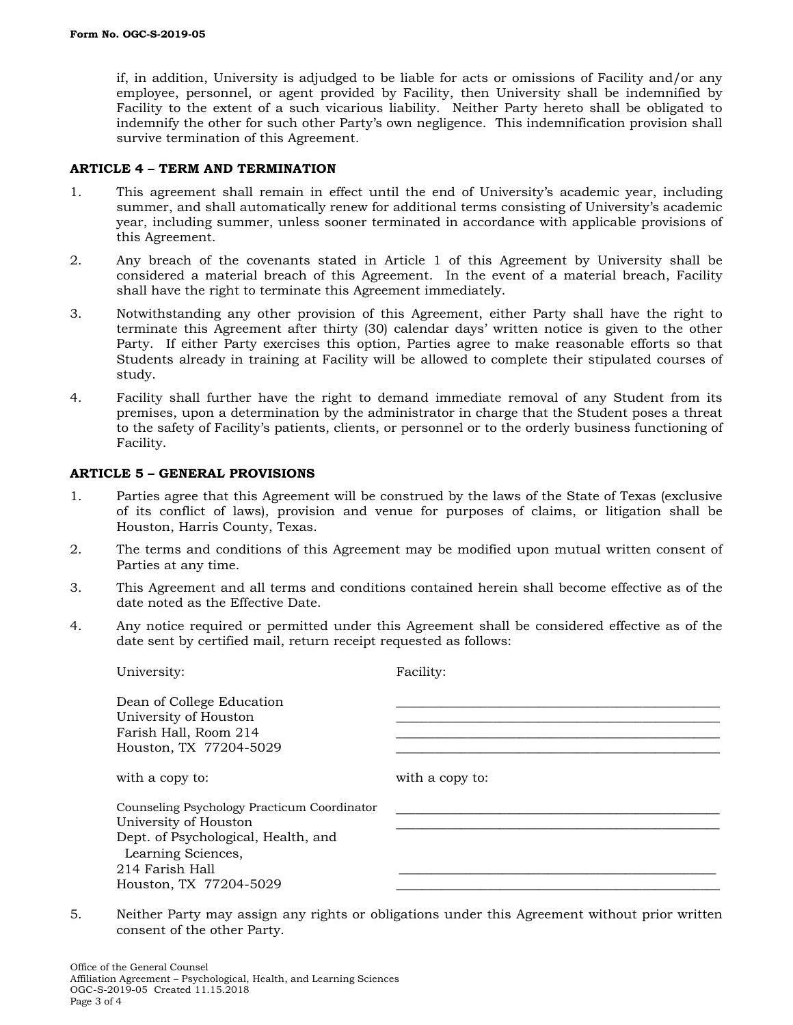if, in addition, University is adjudged to be liable for acts or omissions of Facility and/or any employee, personnel, or agent provided by Facility, then University shall be indemnified by Facility to the extent of a such vicarious liability. Neither Party hereto shall be obligated to indemnify the other for such other Party's own negligence. This indemnification provision shall survive termination of this Agreement.

### **ARTICLE 4 – TERM AND TERMINATION**

- 1. This agreement shall remain in effect until the end of University's academic year, including summer, and shall automatically renew for additional terms consisting of University's academic year, including summer, unless sooner terminated in accordance with applicable provisions of this Agreement.
- 2. Any breach of the covenants stated in Article 1 of this Agreement by University shall be considered a material breach of this Agreement. In the event of a material breach, Facility shall have the right to terminate this Agreement immediately.
- 3. Notwithstanding any other provision of this Agreement, either Party shall have the right to terminate this Agreement after thirty (30) calendar days' written notice is given to the other Party. If either Party exercises this option, Parties agree to make reasonable efforts so that Students already in training at Facility will be allowed to complete their stipulated courses of study.
- 4. Facility shall further have the right to demand immediate removal of any Student from its premises, upon a determination by the administrator in charge that the Student poses a threat to the safety of Facility's patients, clients, or personnel or to the orderly business functioning of Facility.

#### **ARTICLE 5 – GENERAL PROVISIONS**

- 1. Parties agree that this Agreement will be construed by the laws of the State of Texas (exclusive of its conflict of laws), provision and venue for purposes of claims, or litigation shall be Houston, Harris County, Texas.
- 2. The terms and conditions of this Agreement may be modified upon mutual written consent of Parties at any time.
- 3. This Agreement and all terms and conditions contained herein shall become effective as of the date noted as the Effective Date.
- 4. Any notice required or permitted under this Agreement shall be considered effective as of the date sent by certified mail, return receipt requested as follows:

| University:                                                                                                                                                                    | Facility:       |
|--------------------------------------------------------------------------------------------------------------------------------------------------------------------------------|-----------------|
| Dean of College Education<br>University of Houston<br>Farish Hall, Room 214<br>Houston, TX 77204-5029                                                                          |                 |
| with a copy to:                                                                                                                                                                | with a copy to: |
| Counseling Psychology Practicum Coordinator<br>University of Houston<br>Dept. of Psychological, Health, and<br>Learning Sciences,<br>214 Farish Hall<br>Houston, TX 77204-5029 |                 |

5. Neither Party may assign any rights or obligations under this Agreement without prior written consent of the other Party.